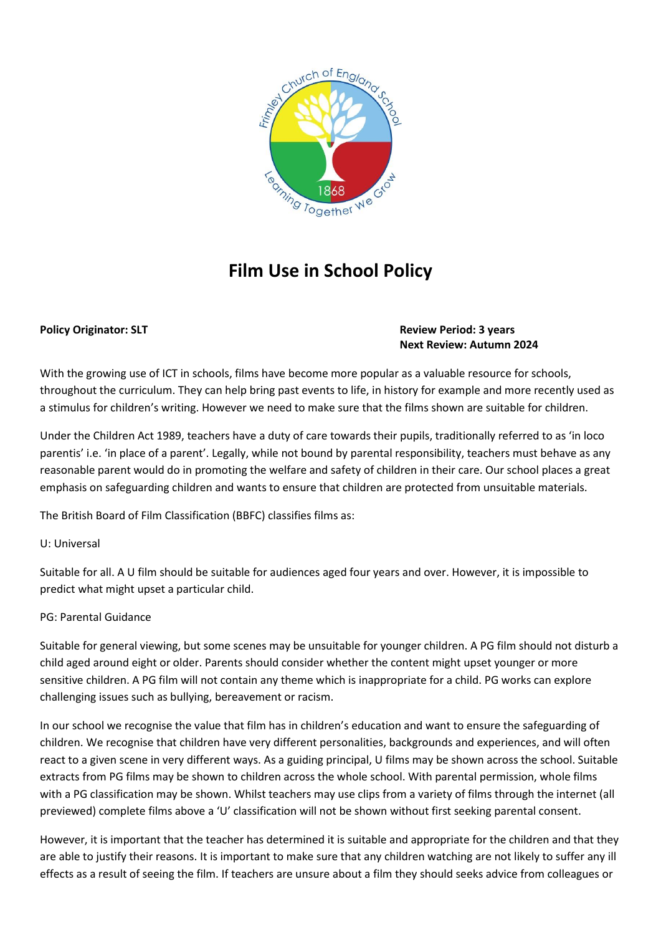

# **Film Use in School Policy**

### **Policy Originator: SLT Review Period: 3 years Review Period: 3 years Next Review: Autumn 2024**

With the growing use of ICT in schools, films have become more popular as a valuable resource for schools, throughout the curriculum. They can help bring past events to life, in history for example and more recently used as a stimulus for children's writing. However we need to make sure that the films shown are suitable for children.

Under the Children Act 1989, teachers have a duty of care towards their pupils, traditionally referred to as 'in loco parentis' i.e. 'in place of a parent'. Legally, while not bound by parental responsibility, teachers must behave as any reasonable parent would do in promoting the welfare and safety of children in their care. Our school places a great emphasis on safeguarding children and wants to ensure that children are protected from unsuitable materials.

The British Board of Film Classification (BBFC) classifies films as:

#### U: Universal

Suitable for all. A U film should be suitable for audiences aged four years and over. However, it is impossible to predict what might upset a particular child.

## PG: Parental Guidance

Suitable for general viewing, but some scenes may be unsuitable for younger children. A PG film should not disturb a child aged around eight or older. Parents should consider whether the content might upset younger or more sensitive children. A PG film will not contain any theme which is inappropriate for a child. PG works can explore challenging issues such as bullying, bereavement or racism.

In our school we recognise the value that film has in children's education and want to ensure the safeguarding of children. We recognise that children have very different personalities, backgrounds and experiences, and will often react to a given scene in very different ways. As a guiding principal, U films may be shown across the school. Suitable extracts from PG films may be shown to children across the whole school. With parental permission, whole films with a PG classification may be shown. Whilst teachers may use clips from a variety of films through the internet (all previewed) complete films above a 'U' classification will not be shown without first seeking parental consent.

However, it is important that the teacher has determined it is suitable and appropriate for the children and that they are able to justify their reasons. It is important to make sure that any children watching are not likely to suffer any ill effects as a result of seeing the film. If teachers are unsure about a film they should seeks advice from colleagues or